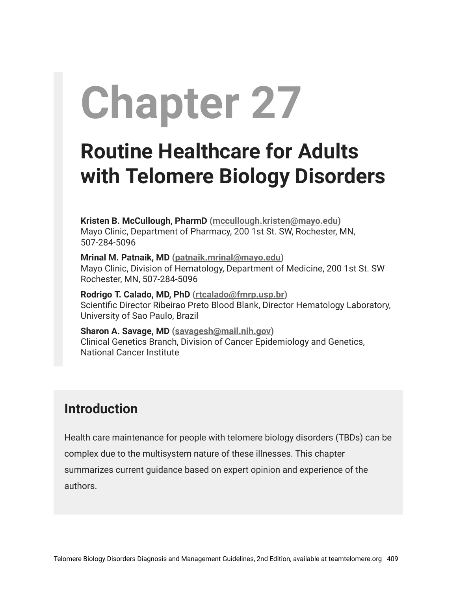# **Chapter 27**

# **Routine Healthcare for Adults with Telomere Biology Disorders**

**Kristen B. McCullough, PharmD [\(mccullough.kristen@mayo.edu\)](mailto:mccullough.kristen@mayo.edu)** Mayo Clinic, Department of Pharmacy, 200 1st St. SW, Rochester, MN, 507-284-5096

**Mrinal M. Patnaik, MD ([patnaik.mrinal@mayo.edu](mailto:patnaik.mrinal@mayo.edu))** Mayo Clinic, Division of Hematology, Department of Medicine, 200 1st St. SW Rochester, MN, 507-284-5096

**Rodrigo T. Calado, MD, PhD [\(rtcalado@fmrp.usp.br\)](mailto:rtcalado@fmrp.usp.br)** Scientific Director Ribeirao Preto Blood Blank, Director Hematology Laboratory, University of Sao Paulo, Brazil

**Sharon A. Savage, MD ([savagesh@mail.nih.gov\)](mailto:savagesh@mail.nih.gov)** Clinical Genetics Branch, Division of Cancer Epidemiology and Genetics, National Cancer Institute

#### **Introduction**

Health care maintenance for people with telomere biology disorders (TBDs) can be complex due to the multisystem nature of these illnesses. This chapter summarizes current guidance based on expert opinion and experience of the authors.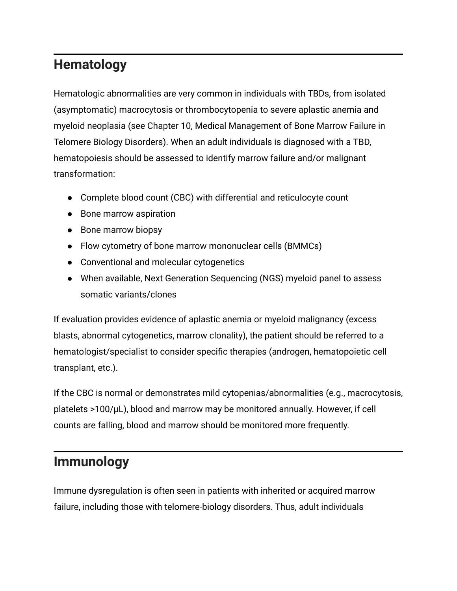# **Hematology**

Hematologic abnormalities are very common in individuals with TBDs, from isolated (asymptomatic) macrocytosis or thrombocytopenia to severe aplastic anemia and myeloid neoplasia (see Chapter 10, Medical Management of Bone Marrow Failure in Telomere Biology Disorders). When an adult individuals is diagnosed with a TBD, hematopoiesis should be assessed to identify marrow failure and/or malignant transformation:

- Complete blood count (CBC) with differential and reticulocyte count
- Bone marrow aspiration
- Bone marrow biopsy
- Flow cytometry of bone marrow mononuclear cells (BMMCs)
- Conventional and molecular cytogenetics
- When available, Next Generation Sequencing (NGS) myeloid panel to assess somatic variants/clones

If evaluation provides evidence of aplastic anemia or myeloid malignancy (excess blasts, abnormal cytogenetics, marrow clonality), the patient should be referred to a hematologist/specialist to consider specific therapies (androgen, hematopoietic cell transplant, etc.).

If the CBC is normal or demonstrates mild cytopenias/abnormalities (e.g., macrocytosis, platelets >100/µL), blood and marrow may be monitored annually. However, if cell counts are falling, blood and marrow should be monitored more frequently.

#### **Immunology**

Immune dysregulation is often seen in patients with inherited or acquired marrow failure, including those with telomere-biology disorders. Thus, adult individuals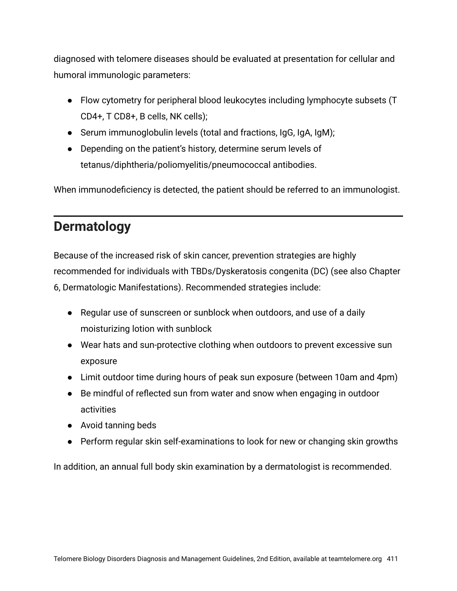diagnosed with telomere diseases should be evaluated at presentation for cellular and humoral immunologic parameters:

- Flow cytometry for peripheral blood leukocytes including lymphocyte subsets (T CD4+, T CD8+, B cells, NK cells);
- Serum immunoglobulin levels (total and fractions, IgG, IgA, IgM);
- Depending on the patient's history, determine serum levels of tetanus/diphtheria/poliomyelitis/pneumococcal antibodies.

When immunodeficiency is detected, the patient should be referred to an immunologist.

#### **Dermatology**

Because of the increased risk of skin cancer, prevention strategies are highly recommended for individuals with TBDs/Dyskeratosis congenita (DC) (see also Chapter 6, Dermatologic Manifestations). Recommended strategies include:

- Regular use of sunscreen or sunblock when outdoors, and use of a daily moisturizing lotion with sunblock
- Wear hats and sun-protective clothing when outdoors to prevent excessive sun exposure
- Limit outdoor time during hours of peak sun exposure (between 10am and 4pm)
- Be mindful of reflected sun from water and snow when engaging in outdoor activities
- Avoid tanning beds
- Perform regular skin self-examinations to look for new or changing skin growths

In addition, an annual full body skin examination by a dermatologist is recommended.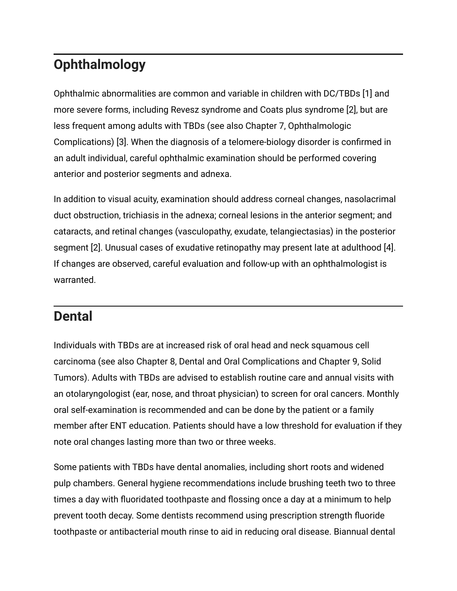# **Ophthalmology**

Ophthalmic abnormalities are common and variable in children with DC/TBDs [1] and more severe forms, including Revesz syndrome and Coats plus syndrome [2], but are less frequent among adults with TBDs (see also Chapter 7, Ophthalmologic Complications) [3]. When the diagnosis of a telomere-biology disorder is confirmed in an adult individual, careful ophthalmic examination should be performed covering anterior and posterior segments and adnexa.

In addition to visual acuity, examination should address corneal changes, nasolacrimal duct obstruction, trichiasis in the adnexa; corneal lesions in the anterior segment; and cataracts, and retinal changes (vasculopathy, exudate, telangiectasias) in the posterior segment [2]. Unusual cases of exudative retinopathy may present late at adulthood [4]. If changes are observed, careful evaluation and follow-up with an ophthalmologist is warranted.

#### **Dental**

Individuals with TBDs are at increased risk of oral head and neck squamous cell carcinoma (see also Chapter 8, Dental and Oral Complications and Chapter 9, Solid Tumors). Adults with TBDs are advised to establish routine care and annual visits with an otolaryngologist (ear, nose, and throat physician) to screen for oral cancers. Monthly oral self-examination is recommended and can be done by the patient or a family member after ENT education. Patients should have a low threshold for evaluation if they note oral changes lasting more than two or three weeks.

Some patients with TBDs have dental anomalies, including short roots and widened pulp chambers. General hygiene recommendations include brushing teeth two to three times a day with fluoridated toothpaste and flossing once a day at a minimum to help prevent tooth decay. Some dentists recommend using prescription strength fluoride toothpaste or antibacterial mouth rinse to aid in reducing oral disease. Biannual dental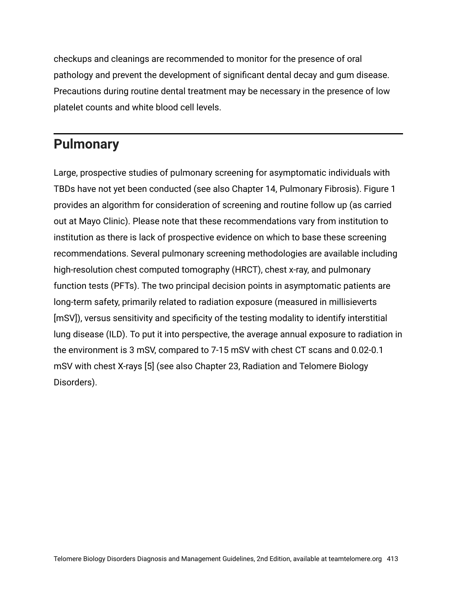checkups and cleanings are recommended to monitor for the presence of oral pathology and prevent the development of significant dental decay and gum disease. Precautions during routine dental treatment may be necessary in the presence of low platelet counts and white blood cell levels.

#### **Pulmonary**

Large, prospective studies of pulmonary screening for asymptomatic individuals with TBDs have not yet been conducted (see also Chapter 14, Pulmonary Fibrosis). Figure 1 provides an algorithm for consideration of screening and routine follow up (as carried out at Mayo Clinic). Please note that these recommendations vary from institution to institution as there is lack of prospective evidence on which to base these screening recommendations. Several pulmonary screening methodologies are available including high-resolution chest computed tomography (HRCT), chest x-ray, and pulmonary function tests (PFTs). The two principal decision points in asymptomatic patients are long-term safety, primarily related to radiation exposure (measured in millisieverts [mSV]), versus sensitivity and specificity of the testing modality to identify interstitial lung disease (ILD). To put it into perspective, the average annual exposure to radiation in the environment is 3 mSV, compared to 7-15 mSV with chest CT scans and 0.02-0.1 mSV with chest X-rays [5] (see also Chapter 23, Radiation and Telomere Biology Disorders).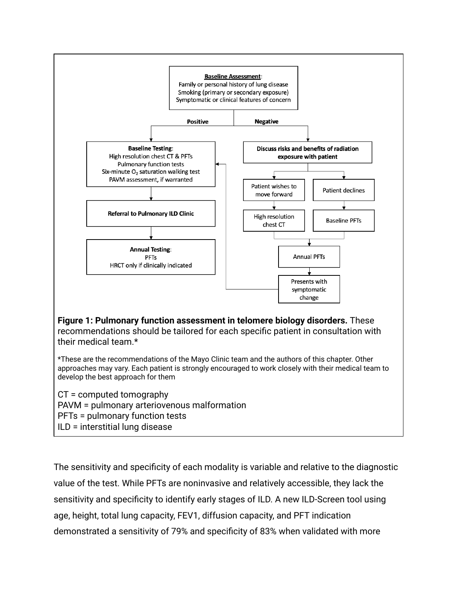

The sensitivity and specificity of each modality is variable and relative to the diagnostic value of the test. While PFTs are noninvasive and relatively accessible, they lack the sensitivity and specificity to identify early stages of ILD. A new ILD-Screen tool using age, height, total lung capacity, FEV1, diffusion capacity, and PFT indication demonstrated a sensitivity of 79% and specificity of 83% when validated with more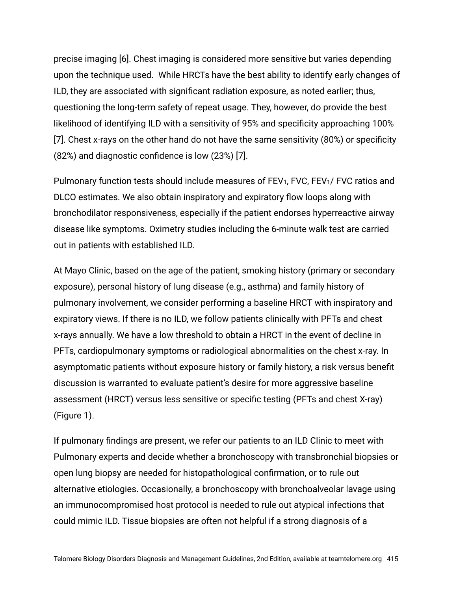precise imaging [6]. Chest imaging is considered more sensitive but varies depending upon the technique used. While HRCTs have the best ability to identify early changes of ILD, they are associated with significant radiation exposure, as noted earlier; thus, questioning the long-term safety of repeat usage. They, however, do provide the best likelihood of identifying ILD with a sensitivity of 95% and specificity approaching 100% [7]. Chest x-rays on the other hand do not have the same sensitivity (80%) or specificity (82%) and diagnostic confidence is low (23%) [7].

Pulmonary function tests should include measures of FEV<sub>1</sub>, FVC, FEV<sub>1</sub>/ FVC ratios and DLCO estimates. We also obtain inspiratory and expiratory flow loops along with bronchodilator responsiveness, especially if the patient endorses hyperreactive airway disease like symptoms. Oximetry studies including the 6-minute walk test are carried out in patients with established ILD.

At Mayo Clinic, based on the age of the patient, smoking history (primary or secondary exposure), personal history of lung disease (e.g., asthma) and family history of pulmonary involvement, we consider performing a baseline HRCT with inspiratory and expiratory views. If there is no ILD, we follow patients clinically with PFTs and chest x-rays annually. We have a low threshold to obtain a HRCT in the event of decline in PFTs, cardiopulmonary symptoms or radiological abnormalities on the chest x-ray. In asymptomatic patients without exposure history or family history, a risk versus benefit discussion is warranted to evaluate patient's desire for more aggressive baseline assessment (HRCT) versus less sensitive or specific testing (PFTs and chest X-ray) (Figure 1).

If pulmonary findings are present, we refer our patients to an ILD Clinic to meet with Pulmonary experts and decide whether a bronchoscopy with transbronchial biopsies or open lung biopsy are needed for histopathological confirmation, or to rule out alternative etiologies. Occasionally, a bronchoscopy with bronchoalveolar lavage using an immunocompromised host protocol is needed to rule out atypical infections that could mimic ILD. Tissue biopsies are often not helpful if a strong diagnosis of a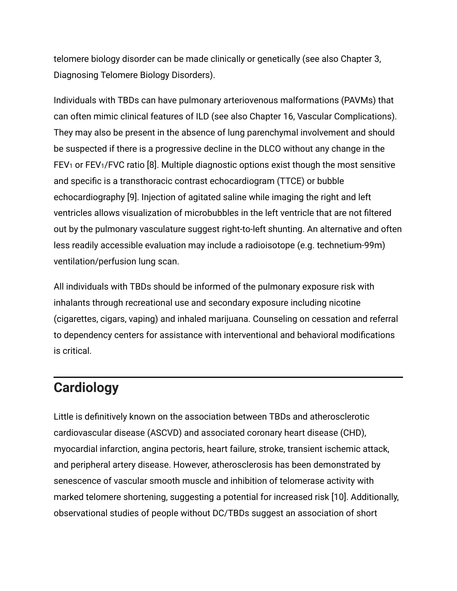telomere biology disorder can be made clinically or genetically (see also Chapter 3, Diagnosing Telomere Biology Disorders).

Individuals with TBDs can have pulmonary arteriovenous malformations (PAVMs) that can often mimic clinical features of ILD (see also Chapter 16, Vascular Complications). They may also be present in the absence of lung parenchymal involvement and should be suspected if there is a progressive decline in the DLCO without any change in the FEV<sub>1</sub> or FEV<sub>1</sub>/FVC ratio [8]. Multiple diagnostic options exist though the most sensitive and specific is a transthoracic contrast echocardiogram (TTCE) or bubble echocardiography [9]. Injection of agitated saline while imaging the right and left ventricles allows visualization of microbubbles in the left ventricle that are not filtered out by the pulmonary vasculature suggest right-to-left shunting. An alternative and often less readily accessible evaluation may include a radioisotope (e.g. technetium-99m) ventilation/perfusion lung scan.

All individuals with TBDs should be informed of the pulmonary exposure risk with inhalants through recreational use and secondary exposure including nicotine (cigarettes, cigars, vaping) and inhaled marijuana. Counseling on cessation and referral to dependency centers for assistance with interventional and behavioral modifications is critical.

#### **Cardiology**

Little is definitively known on the association between TBDs and atherosclerotic cardiovascular disease (ASCVD) and associated coronary heart disease (CHD), myocardial infarction, angina pectoris, heart failure, stroke, transient ischemic attack, and peripheral artery disease. However, atherosclerosis has been demonstrated by senescence of vascular smooth muscle and inhibition of telomerase activity with marked telomere shortening, suggesting a potential for increased risk [10]. Additionally, observational studies of people without DC/TBDs suggest an association of short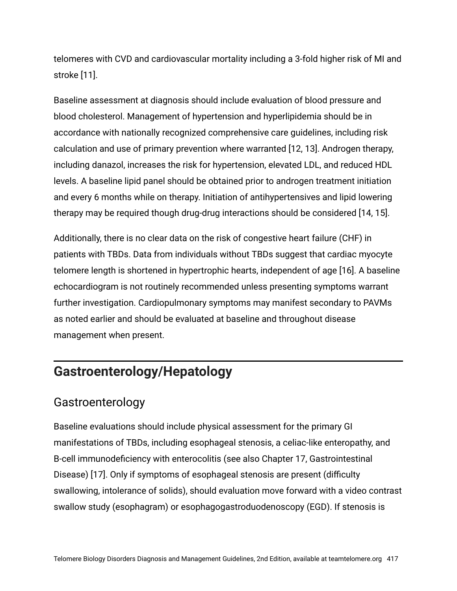telomeres with CVD and cardiovascular mortality including a 3-fold higher risk of MI and stroke [11].

Baseline assessment at diagnosis should include evaluation of blood pressure and blood cholesterol. Management of hypertension and hyperlipidemia should be in accordance with nationally recognized comprehensive care guidelines, including risk calculation and use of primary prevention where warranted [12, 13]. Androgen therapy, including danazol, increases the risk for hypertension, elevated LDL, and reduced HDL levels. A baseline lipid panel should be obtained prior to androgen treatment initiation and every 6 months while on therapy. Initiation of antihypertensives and lipid lowering therapy may be required though drug-drug interactions should be considered [14, 15].

Additionally, there is no clear data on the risk of congestive heart failure (CHF) in patients with TBDs. Data from individuals without TBDs suggest that cardiac myocyte telomere length is shortened in hypertrophic hearts, independent of age [16]. A baseline echocardiogram is not routinely recommended unless presenting symptoms warrant further investigation. Cardiopulmonary symptoms may manifest secondary to PAVMs as noted earlier and should be evaluated at baseline and throughout disease management when present.

#### **Gastroenterology/Hepatology**

#### Gastroenterology

Baseline evaluations should include physical assessment for the primary GI manifestations of TBDs, including esophageal stenosis, a celiac-like enteropathy, and B-cell immunodeficiency with enterocolitis (see also Chapter 17, Gastrointestinal Disease) [17]. Only if symptoms of esophageal stenosis are present (difficulty swallowing, intolerance of solids), should evaluation move forward with a video contrast swallow study (esophagram) or esophagogastroduodenoscopy (EGD). If stenosis is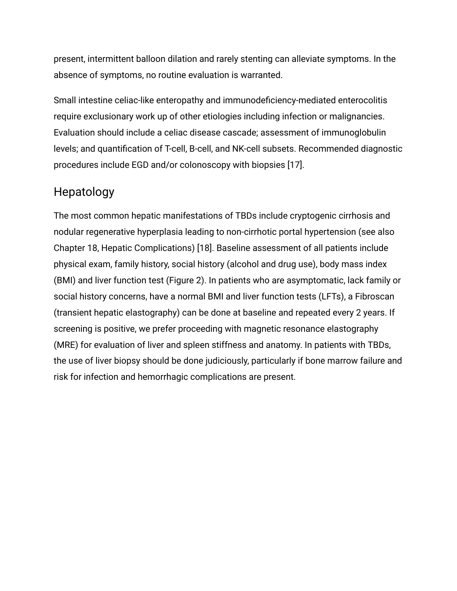present, intermittent balloon dilation and rarely stenting can alleviate symptoms. In the absence of symptoms, no routine evaluation is warranted.

Small intestine celiac-like enteropathy and immunodeficiency-mediated enterocolitis require exclusionary work up of other etiologies including infection or malignancies. Evaluation should include a celiac disease cascade; assessment of immunoglobulin levels; and quantification of T-cell, B-cell, and NK-cell subsets. Recommended diagnostic procedures include EGD and/or colonoscopy with biopsies [17].

#### Hepatology

The most common hepatic manifestations of TBDs include cryptogenic cirrhosis and nodular regenerative hyperplasia leading to non-cirrhotic portal hypertension (see also Chapter 18, Hepatic Complications) [18]. Baseline assessment of all patients include physical exam, family history, social history (alcohol and drug use), body mass index (BMI) and liver function test (Figure 2). In patients who are asymptomatic, lack family or social history concerns, have a normal BMI and liver function tests (LFTs), a Fibroscan (transient hepatic elastography) can be done at baseline and repeated every 2 years. If screening is positive, we prefer proceeding with magnetic resonance elastography (MRE) for evaluation of liver and spleen stiffness and anatomy. In patients with TBDs, the use of liver biopsy should be done judiciously, particularly if bone marrow failure and risk for infection and hemorrhagic complications are present.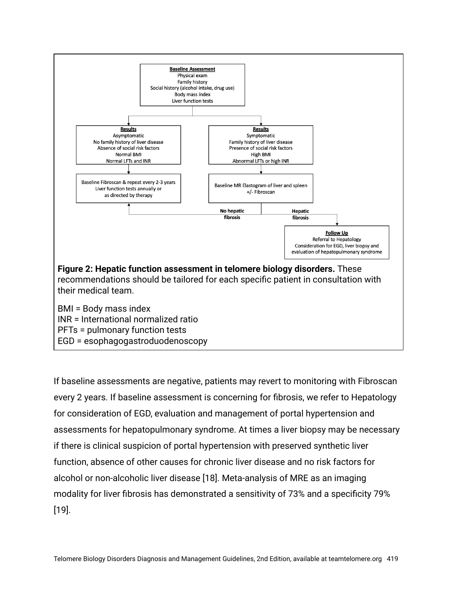

If baseline assessments are negative, patients may revert to monitoring with Fibroscan every 2 years. If baseline assessment is concerning for fibrosis, we refer to Hepatology for consideration of EGD, evaluation and management of portal hypertension and assessments for hepatopulmonary syndrome. At times a liver biopsy may be necessary if there is clinical suspicion of portal hypertension with preserved synthetic liver function, absence of other causes for chronic liver disease and no risk factors for alcohol or non-alcoholic liver disease [18]. Meta-analysis of MRE as an imaging modality for liver fibrosis has demonstrated a sensitivity of 73% and a specificity 79% [19].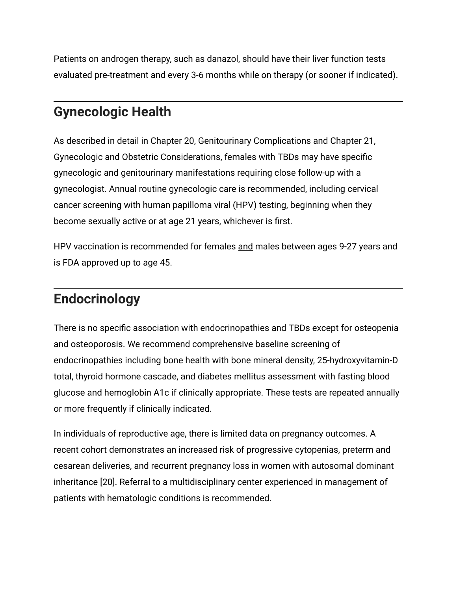Patients on androgen therapy, such as danazol, should have their liver function tests evaluated pre-treatment and every 3-6 months while on therapy (or sooner if indicated).

## **Gynecologic Health**

As described in detail in Chapter 20, Genitourinary Complications and Chapter 21, Gynecologic and Obstetric Considerations, females with TBDs may have specific gynecologic and genitourinary manifestations requiring close follow-up with a gynecologist. Annual routine gynecologic care is recommended, including cervical cancer screening with human papilloma viral (HPV) testing, beginning when they become sexually active or at age 21 years, whichever is first.

HPV vaccination is recommended for females and males between ages 9-27 years and is FDA approved up to age 45.

## **Endocrinology**

There is no specific association with endocrinopathies and TBDs except for osteopenia and osteoporosis. We recommend comprehensive baseline screening of endocrinopathies including bone health with bone mineral density, 25-hydroxyvitamin-D total, thyroid hormone cascade, and diabetes mellitus assessment with fasting blood glucose and hemoglobin A1c if clinically appropriate. These tests are repeated annually or more frequently if clinically indicated.

In individuals of reproductive age, there is limited data on pregnancy outcomes. A recent cohort demonstrates an increased risk of progressive cytopenias, preterm and cesarean deliveries, and recurrent pregnancy loss in women with autosomal dominant inheritance [20]. Referral to a multidisciplinary center experienced in management of patients with hematologic conditions is recommended.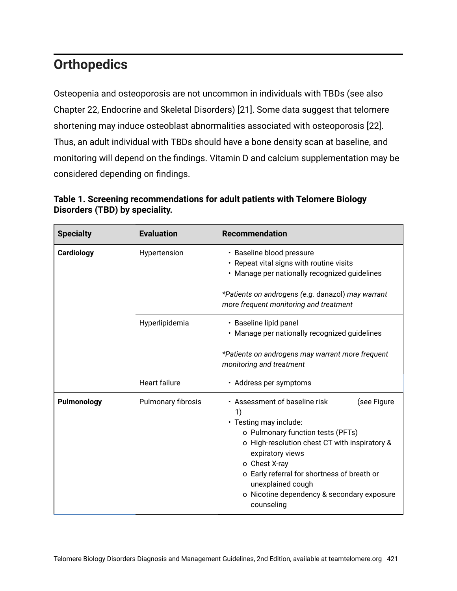## **Orthopedics**

Osteopenia and osteoporosis are not uncommon in individuals with TBDs (see also Chapter 22, Endocrine and Skeletal Disorders) [21]. Some data suggest that telomere shortening may induce osteoblast abnormalities associated with osteoporosis [22]. Thus, an adult individual with TBDs should have a bone density scan at baseline, and monitoring will depend on the findings. Vitamin D and calcium supplementation may be considered depending on findings.

| <b>Specialty</b> | <b>Evaluation</b>    | <b>Recommendation</b>                                                                                                                                                                                                                                                                                                                   |  |  |
|------------------|----------------------|-----------------------------------------------------------------------------------------------------------------------------------------------------------------------------------------------------------------------------------------------------------------------------------------------------------------------------------------|--|--|
| Cardiology       | Hypertension         | • Baseline blood pressure<br>• Repeat vital signs with routine visits<br>· Manage per nationally recognized guidelines<br>*Patients on androgens (e.g. danazol) may warrant<br>more frequent monitoring and treatment                                                                                                                   |  |  |
|                  |                      |                                                                                                                                                                                                                                                                                                                                         |  |  |
|                  | Hyperlipidemia       | · Baseline lipid panel<br>· Manage per nationally recognized guidelines                                                                                                                                                                                                                                                                 |  |  |
|                  |                      | *Patients on androgens may warrant more frequent<br>monitoring and treatment                                                                                                                                                                                                                                                            |  |  |
|                  | <b>Heart failure</b> | · Address per symptoms                                                                                                                                                                                                                                                                                                                  |  |  |
| Pulmonology      | Pulmonary fibrosis   | • Assessment of baseline risk<br>(see Figure<br>1)<br>• Testing may include:<br>o Pulmonary function tests (PFTs)<br>o High-resolution chest CT with inspiratory &<br>expiratory views<br>o Chest X-ray<br>o Early referral for shortness of breath or<br>unexplained cough<br>o Nicotine dependency & secondary exposure<br>counseling |  |  |

**Table 1. Screening recommendations for adult patients with Telomere Biology Disorders (TBD) by speciality.**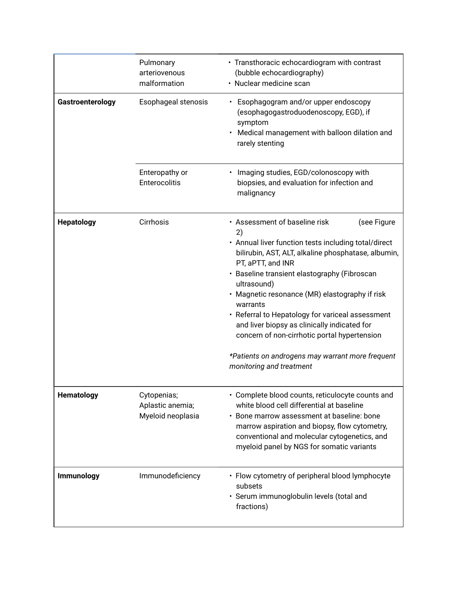|                   | Pulmonary<br>arteriovenous<br>malformation           | • Transthoracic echocardiogram with contrast<br>(bubble echocardiography)<br>· Nuclear medicine scan                                                                                                                                                                                                                                                                                                                                                                                                                                                    |  |
|-------------------|------------------------------------------------------|---------------------------------------------------------------------------------------------------------------------------------------------------------------------------------------------------------------------------------------------------------------------------------------------------------------------------------------------------------------------------------------------------------------------------------------------------------------------------------------------------------------------------------------------------------|--|
| Gastroenterology  | Esophageal stenosis                                  | • Esophagogram and/or upper endoscopy<br>(esophagogastroduodenoscopy, EGD), if<br>symptom<br>Medical management with balloon dilation and<br>rarely stenting                                                                                                                                                                                                                                                                                                                                                                                            |  |
|                   | Enteropathy or<br>Enterocolitis                      | • Imaging studies, EGD/colonoscopy with<br>biopsies, and evaluation for infection and<br>malignancy                                                                                                                                                                                                                                                                                                                                                                                                                                                     |  |
| <b>Hepatology</b> | Cirrhosis                                            | • Assessment of baseline risk<br>(see Figure<br>2)<br>• Annual liver function tests including total/direct<br>bilirubin, AST, ALT, alkaline phosphatase, albumin,<br>PT, aPTT, and INR<br>· Baseline transient elastography (Fibroscan<br>ultrasound)<br>· Magnetic resonance (MR) elastography if risk<br>warrants<br>• Referral to Hepatology for variceal assessment<br>and liver biopsy as clinically indicated for<br>concern of non-cirrhotic portal hypertension<br>*Patients on androgens may warrant more frequent<br>monitoring and treatment |  |
| <b>Hematology</b> | Cytopenias;<br>Aplastic anemia;<br>Myeloid neoplasia | • Complete blood counts, reticulocyte counts and<br>white blood cell differential at baseline<br>Bone marrow assessment at baseline: bone<br>marrow aspiration and biopsy, flow cytometry,<br>conventional and molecular cytogenetics, and<br>myeloid panel by NGS for somatic variants                                                                                                                                                                                                                                                                 |  |
| Immunology        | Immunodeficiency                                     | • Flow cytometry of peripheral blood lymphocyte<br>subsets<br>· Serum immunoglobulin levels (total and<br>fractions)                                                                                                                                                                                                                                                                                                                                                                                                                                    |  |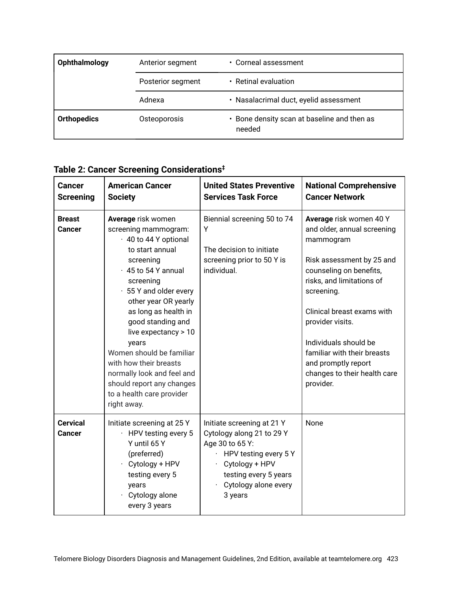| Ophthalmology      | $\cdot$ Corneal assessment<br>Anterior segment |                                                       |
|--------------------|------------------------------------------------|-------------------------------------------------------|
|                    | Posterior segment                              | • Retinal evaluation                                  |
|                    | Adnexa                                         | • Nasalacrimal duct, eyelid assessment                |
| <b>Orthopedics</b> | Osteoporosis                                   | • Bone density scan at baseline and then as<br>needed |

| Table 2: Cancer Screening Considerations <sup>‡</sup> |  |
|-------------------------------------------------------|--|
|-------------------------------------------------------|--|

| <b>Cancer</b><br><b>Screening</b> | <b>American Cancer</b><br><b>Society</b>                                                                                                                                                                                                                                                                                                                                                                                                   | <b>United States Preventive</b><br><b>Services Task Force</b>                                                                                                                     | <b>National Comprehensive</b><br><b>Cancer Network</b>                                                                                                                                                                                                                                                                                               |
|-----------------------------------|--------------------------------------------------------------------------------------------------------------------------------------------------------------------------------------------------------------------------------------------------------------------------------------------------------------------------------------------------------------------------------------------------------------------------------------------|-----------------------------------------------------------------------------------------------------------------------------------------------------------------------------------|------------------------------------------------------------------------------------------------------------------------------------------------------------------------------------------------------------------------------------------------------------------------------------------------------------------------------------------------------|
| <b>Breast</b><br><b>Cancer</b>    | Average risk women<br>screening mammogram:<br>· 40 to 44 Y optional<br>to start annual<br>screening<br>$\cdot$ 45 to 54 Y annual<br>screening<br>· 55 Y and older every<br>other year OR yearly<br>as long as health in<br>good standing and<br>live expectancy > 10<br>years<br>Women should be familiar<br>with how their breasts<br>normally look and feel and<br>should report any changes<br>to a health care provider<br>right away. | Biennial screening 50 to 74<br>Y<br>The decision to initiate<br>screening prior to 50 Y is<br>individual.                                                                         | Average risk women 40 Y<br>and older, annual screening<br>mammogram<br>Risk assessment by 25 and<br>counseling on benefits,<br>risks, and limitations of<br>screening.<br>Clinical breast exams with<br>provider visits.<br>Individuals should be<br>familiar with their breasts<br>and promptly report<br>changes to their health care<br>provider. |
| <b>Cervical</b><br><b>Cancer</b>  | Initiate screening at 25 Y<br>· HPV testing every 5<br>Y until 65 Y<br>(preferred)<br>$\cdot$ Cytology + HPV<br>testing every 5<br>years<br>Cytology alone<br>every 3 years                                                                                                                                                                                                                                                                | Initiate screening at 21 Y<br>Cytology along 21 to 29 Y<br>Age 30 to 65 Y:<br>HPV testing every 5 Y<br>Cytology + HPV<br>testing every 5 years<br>Cytology alone every<br>3 years | None                                                                                                                                                                                                                                                                                                                                                 |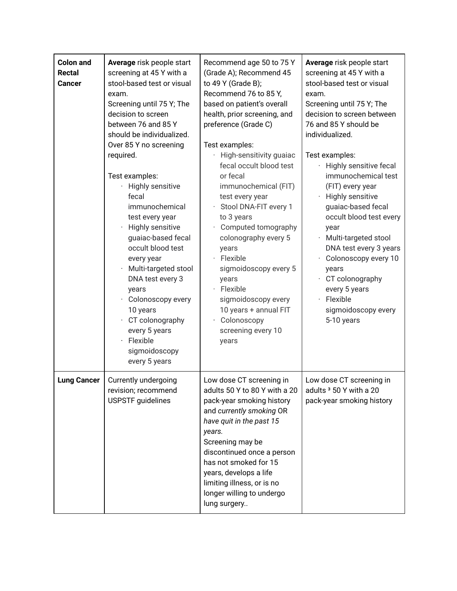| <b>Colon and</b><br><b>Rectal</b><br><b>Cancer</b> | Average risk people start<br>screening at 45 Y with a<br>stool-based test or visual<br>exam.<br>Screening until 75 Y; The<br>decision to screen<br>between 76 and 85 Y<br>should be individualized.<br>Over 85 Y no screening<br>required.<br>Test examples:<br>Highly sensitive<br>¥,<br>fecal<br>immunochemical<br>test every year<br>Highly sensitive<br>guaiac-based fecal<br>occult blood test<br>every year<br>Multi-targeted stool<br>DNA test every 3<br>years<br>Colonoscopy every<br>10 years<br>CT colonography<br>every 5 years<br>Flexible<br>$\bullet$<br>sigmoidoscopy<br>every 5 years | Recommend age 50 to 75 Y<br>(Grade A); Recommend 45<br>to 49 Y (Grade B);<br>Recommend 76 to 85 Y,<br>based on patient's overall<br>health, prior screening, and<br>preference (Grade C)<br>Test examples:<br>High-sensitivity guaiac<br>fecal occult blood test<br>or fecal<br>immunochemical (FIT)<br>test every year<br>Stool DNA-FIT every 1<br>÷.<br>to 3 years<br>Computed tomography<br>colonography every 5<br>years<br>· Flexible<br>sigmoidoscopy every 5<br>years<br>· Flexible<br>sigmoidoscopy every<br>10 years + annual FIT<br>Colonoscopy<br>screening every 10<br>years | Average risk people start<br>screening at 45 Y with a<br>stool-based test or visual<br>exam.<br>Screening until 75 Y; The<br>decision to screen between<br>76 and 85 Y should be<br>individualized.<br>Test examples:<br>Highly sensitive fecal<br>immunochemical test<br>(FIT) every year<br>Highly sensitive<br>guaiac-based fecal<br>occult blood test every<br>year<br>Multi-targeted stool<br>$\ddot{\phantom{0}}$<br>DNA test every 3 years<br>Colonoscopy every 10<br>years<br>CT colonography<br>every 5 years<br>Flexible<br>sigmoidoscopy every<br>5-10 years |
|----------------------------------------------------|--------------------------------------------------------------------------------------------------------------------------------------------------------------------------------------------------------------------------------------------------------------------------------------------------------------------------------------------------------------------------------------------------------------------------------------------------------------------------------------------------------------------------------------------------------------------------------------------------------|------------------------------------------------------------------------------------------------------------------------------------------------------------------------------------------------------------------------------------------------------------------------------------------------------------------------------------------------------------------------------------------------------------------------------------------------------------------------------------------------------------------------------------------------------------------------------------------|-------------------------------------------------------------------------------------------------------------------------------------------------------------------------------------------------------------------------------------------------------------------------------------------------------------------------------------------------------------------------------------------------------------------------------------------------------------------------------------------------------------------------------------------------------------------------|
| <b>Lung Cancer</b>                                 | Currently undergoing<br>revision; recommend<br><b>USPSTF</b> guidelines                                                                                                                                                                                                                                                                                                                                                                                                                                                                                                                                | Low dose CT screening in<br>adults 50 Y to 80 Y with a 20<br>pack-year smoking history<br>and currently smoking OR<br>have quit in the past 15<br>years.<br>Screening may be<br>discontinued once a person<br>has not smoked for 15<br>years, develops a life<br>limiting illness, or is no<br>longer willing to undergo<br>lung surgery                                                                                                                                                                                                                                                 | Low dose CT screening in<br>adults <sup>3</sup> 50 Y with a 20<br>pack-year smoking history                                                                                                                                                                                                                                                                                                                                                                                                                                                                             |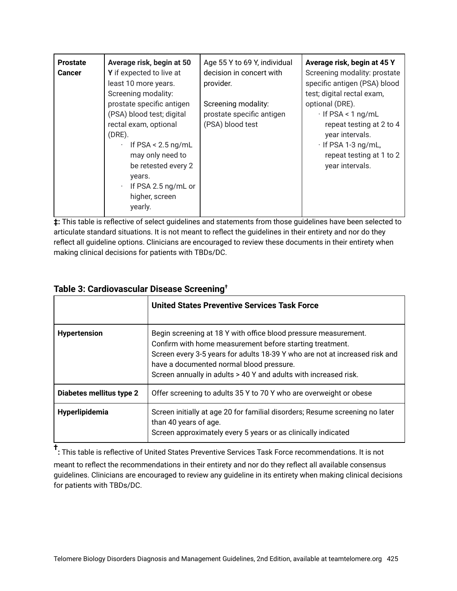| <b>Prostate</b><br><b>Cancer</b> | Average risk, begin at 50<br>Y if expected to live at<br>least 10 more years.<br>Screening modality:                                                                                                                                                    | Age 55 Y to 69 Y, individual<br>decision in concert with<br>provider. | Average risk, begin at 45 Y<br>Screening modality: prostate<br>specific antigen (PSA) blood<br>test; digital rectal exam,                                              |
|----------------------------------|---------------------------------------------------------------------------------------------------------------------------------------------------------------------------------------------------------------------------------------------------------|-----------------------------------------------------------------------|------------------------------------------------------------------------------------------------------------------------------------------------------------------------|
|                                  | prostate specific antigen<br>(PSA) blood test; digital<br>rectal exam, optional<br>$(DRE)$ .<br>If $PSA < 2.5$ ng/mL<br>$\bullet$<br>may only need to<br>be retested every 2<br>years.<br>If PSA 2.5 ng/mL or<br>$\bullet$<br>higher, screen<br>yearly. | Screening modality:<br>prostate specific antigen<br>(PSA) blood test  | optional (DRE).<br>$\cdot$ If PSA < 1 ng/mL<br>repeat testing at 2 to 4<br>year intervals.<br>$\cdot$ If PSA 1-3 ng/mL,<br>repeat testing at 1 to 2<br>year intervals. |

**‡:** This table is reflective of select guidelines and statements from those guidelines have been selected to articulate standard situations. It is not meant to reflect the guidelines in their entirety and nor do they reflect all guideline options. Clinicians are encouraged to review these documents in their entirety when making clinical decisions for patients with TBDs/DC.

|                          | <b>United States Preventive Services Task Force</b>                                                                                                                                                                                                                                                                        |
|--------------------------|----------------------------------------------------------------------------------------------------------------------------------------------------------------------------------------------------------------------------------------------------------------------------------------------------------------------------|
| <b>Hypertension</b>      | Begin screening at 18 Y with office blood pressure measurement.<br>Confirm with home measurement before starting treatment.<br>Screen every 3-5 years for adults 18-39 Y who are not at increased risk and<br>have a documented normal blood pressure.<br>Screen annually in adults > 40 Y and adults with increased risk. |
| Diabetes mellitus type 2 | Offer screening to adults 35 Y to 70 Y who are overweight or obese                                                                                                                                                                                                                                                         |
| Hyperlipidemia           | Screen initially at age 20 for familial disorders; Resume screening no later<br>than 40 years of age.<br>Screen approximately every 5 years or as clinically indicated                                                                                                                                                     |

#### **Table 3: Cardiovascular Disease Screening†**

**† :** This table is reflective of United States Preventive Services Task Force recommendations. It is not meant to reflect the recommendations in their entirety and nor do they reflect all available consensus guidelines. Clinicians are encouraged to review any guideline in its entirety when making clinical decisions for patients with TBDs/DC.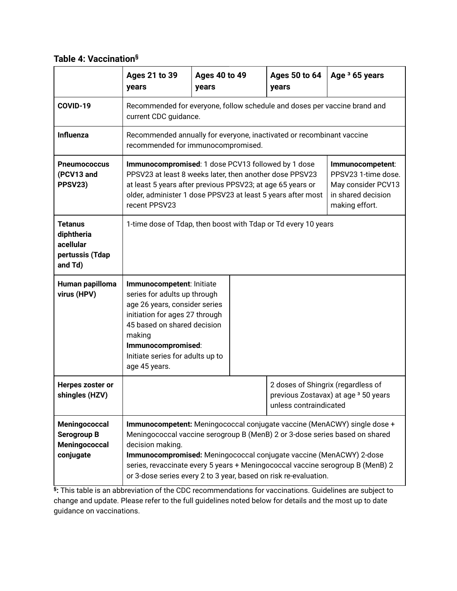#### **Table 4: Vaccination§**

|                                                                         | <b>Ages 21 to 39</b><br>years                                                                                                                                                                                                                                                                                                                                                                            | <b>Ages 40 to 49</b><br>years                                                                      | <b>Ages 50 to 64</b><br>years                                | Age <sup>3</sup> 65 years            |  |
|-------------------------------------------------------------------------|----------------------------------------------------------------------------------------------------------------------------------------------------------------------------------------------------------------------------------------------------------------------------------------------------------------------------------------------------------------------------------------------------------|----------------------------------------------------------------------------------------------------|--------------------------------------------------------------|--------------------------------------|--|
| COVID-19                                                                |                                                                                                                                                                                                                                                                                                                                                                                                          | Recommended for everyone, follow schedule and doses per vaccine brand and<br>current CDC guidance. |                                                              |                                      |  |
| <b>Influenza</b>                                                        | Recommended annually for everyone, inactivated or recombinant vaccine<br>recommended for immunocompromised.                                                                                                                                                                                                                                                                                              |                                                                                                    |                                                              |                                      |  |
| <b>Pneumococcus</b><br>(PCV13 and<br>PPSV23)                            | Immunocompromised: 1 dose PCV13 followed by 1 dose<br>Immunocompetent:<br>PPSV23 at least 8 weeks later, then another dose PPSV23<br>PPSV23 1-time dose.<br>at least 5 years after previous PPSV23; at age 65 years or<br>May consider PCV13<br>older, administer 1 dose PPSV23 at least 5 years after most<br>in shared decision<br>recent PPSV23<br>making effort.                                     |                                                                                                    |                                                              |                                      |  |
| <b>Tetanus</b><br>diphtheria<br>acellular<br>pertussis (Tdap<br>and Td) | 1-time dose of Tdap, then boost with Tdap or Td every 10 years                                                                                                                                                                                                                                                                                                                                           |                                                                                                    |                                                              |                                      |  |
| Human papilloma<br>virus (HPV)                                          | Immunocompetent: Initiate<br>series for adults up through<br>age 26 years, consider series<br>initiation for ages 27 through<br>45 based on shared decision<br>making<br>Immunocompromised:<br>Initiate series for adults up to<br>age 45 years.                                                                                                                                                         |                                                                                                    |                                                              |                                      |  |
| Herpes zoster or<br>shingles (HZV)                                      |                                                                                                                                                                                                                                                                                                                                                                                                          |                                                                                                    | 2 doses of Shingrix (regardless of<br>unless contraindicated | previous Zostavax) at age 3 50 years |  |
| Meningococcal<br>Serogroup B<br>Meningococcal<br>conjugate              | Immunocompetent: Meningococcal conjugate vaccine (MenACWY) single dose +<br>Meningococcal vaccine serogroup B (MenB) 2 or 3-dose series based on shared<br>decision making.<br>Immunocompromised: Meningococcal conjugate vaccine (MenACWY) 2-dose<br>series, revaccinate every 5 years + Meningococcal vaccine serogroup B (MenB) 2<br>or 3-dose series every 2 to 3 year, based on risk re-evaluation. |                                                                                                    |                                                              |                                      |  |

**§ :** This table is an abbreviation of the CDC recommendations for vaccinations. Guidelines are subject to change and update. Please refer to the full guidelines noted below for details and the most up to date guidance on vaccinations.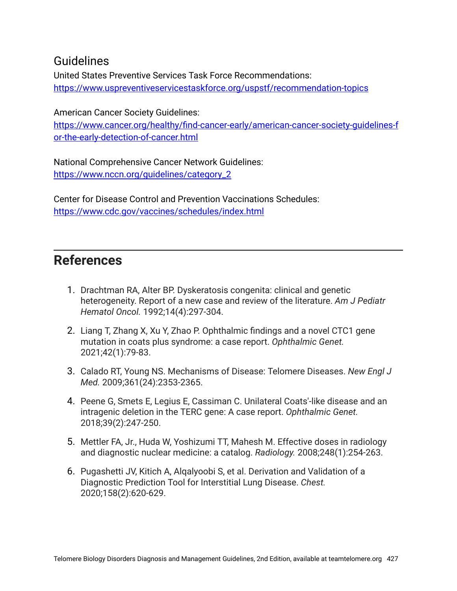#### Guidelines

United States Preventive Services Task Force Recommendations: <https://www.uspreventiveservicestaskforce.org/uspstf/recommendation-topics>

American Cancer Society Guidelines: [https://www.cancer.org/healthy/find-cancer-early/american-cancer-society-guidelines-f](https://www.cancer.org/healthy/find-cancer-early/american-cancer-society-guidelines-for-the-early-detection-of-cancer.html) [or-the-early-detection-of-cancer.html](https://www.cancer.org/healthy/find-cancer-early/american-cancer-society-guidelines-for-the-early-detection-of-cancer.html)

National Comprehensive Cancer Network Guidelines: [https://www.nccn.org/guidelines/category\\_2](https://www.nccn.org/guidelines/category_2)

Center for Disease Control and Prevention Vaccinations Schedules: <https://www.cdc.gov/vaccines/schedules/index.html>

#### **References**

- 1. Drachtman RA, Alter BP. Dyskeratosis congenita: clinical and genetic heterogeneity. Report of a new case and review of the literature. *Am J Pediatr Hematol Oncol.* 1992;14(4):297-304.
- 2. Liang T, Zhang X, Xu Y, Zhao P. Ophthalmic findings and a novel CTC1 gene mutation in coats plus syndrome: a case report. *Ophthalmic Genet.* 2021;42(1):79-83.
- 3. Calado RT, Young NS. Mechanisms of Disease: Telomere Diseases. *New Engl J Med.* 2009;361(24):2353-2365.
- 4. Peene G, Smets E, Legius E, Cassiman C. Unilateral Coats'-like disease and an intragenic deletion in the TERC gene: A case report. *Ophthalmic Genet.* 2018;39(2):247-250.
- 5. Mettler FA, Jr., Huda W, Yoshizumi TT, Mahesh M. Effective doses in radiology and diagnostic nuclear medicine: a catalog. *Radiology.* 2008;248(1):254-263.
- 6. Pugashetti JV, Kitich A, Alqalyoobi S, et al. Derivation and Validation of a Diagnostic Prediction Tool for Interstitial Lung Disease. *Chest.* 2020;158(2):620-629.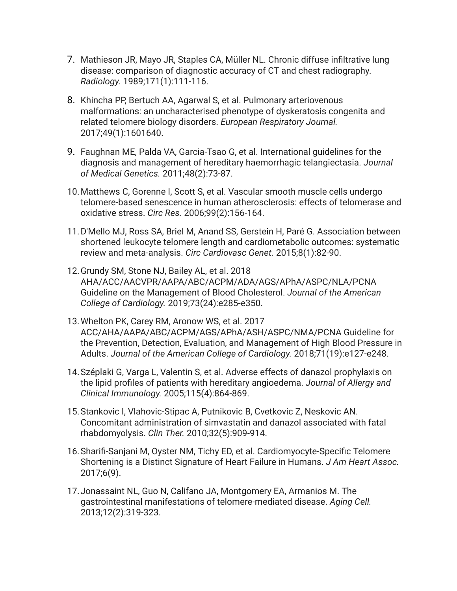- 7. Mathieson JR, Mayo JR, Staples CA, Müller NL. Chronic diffuse infiltrative lung disease: comparison of diagnostic accuracy of CT and chest radiography. *Radiology.* 1989;171(1):111-116.
- 8. Khincha PP, Bertuch AA, Agarwal S, et al. Pulmonary arteriovenous malformations: an uncharacterised phenotype of dyskeratosis congenita and related telomere biology disorders. *European Respiratory Journal.* 2017;49(1):1601640.
- 9. Faughnan ME, Palda VA, Garcia-Tsao G, et al. International guidelines for the diagnosis and management of hereditary haemorrhagic telangiectasia. *Journal of Medical Genetics.* 2011;48(2):73-87.
- 10.Matthews C, Gorenne I, Scott S, et al. Vascular smooth muscle cells undergo telomere-based senescence in human atherosclerosis: effects of telomerase and oxidative stress. *Circ Res.* 2006;99(2):156-164.
- 11.D'Mello MJ, Ross SA, Briel M, Anand SS, Gerstein H, Paré G. Association between shortened leukocyte telomere length and cardiometabolic outcomes: systematic review and meta-analysis. *Circ Cardiovasc Genet.* 2015;8(1):82-90.
- 12.Grundy SM, Stone NJ, Bailey AL, et al. 2018 AHA/ACC/AACVPR/AAPA/ABC/ACPM/ADA/AGS/APhA/ASPC/NLA/PCNA Guideline on the Management of Blood Cholesterol. *Journal of the American College of Cardiology.* 2019;73(24):e285-e350.
- 13.Whelton PK, Carey RM, Aronow WS, et al. 2017 ACC/AHA/AAPA/ABC/ACPM/AGS/APhA/ASH/ASPC/NMA/PCNA Guideline for the Prevention, Detection, Evaluation, and Management of High Blood Pressure in Adults. *Journal of the American College of Cardiology.* 2018;71(19):e127-e248.
- 14.Széplaki G, Varga L, Valentin S, et al. Adverse effects of danazol prophylaxis on the lipid profiles of patients with hereditary angioedema. *Journal of Allergy and Clinical Immunology.* 2005;115(4):864-869.
- 15.Stankovic I, Vlahovic-Stipac A, Putnikovic B, Cvetkovic Z, Neskovic AN. Concomitant administration of simvastatin and danazol associated with fatal rhabdomyolysis. *Clin Ther.* 2010;32(5):909-914.
- 16.Sharifi-Sanjani M, Oyster NM, Tichy ED, et al. Cardiomyocyte-Specific Telomere Shortening is a Distinct Signature of Heart Failure in Humans. *J Am Heart Assoc.* 2017;6(9).
- 17.Jonassaint NL, Guo N, Califano JA, Montgomery EA, Armanios M. The gastrointestinal manifestations of telomere-mediated disease. *Aging Cell.* 2013;12(2):319-323.